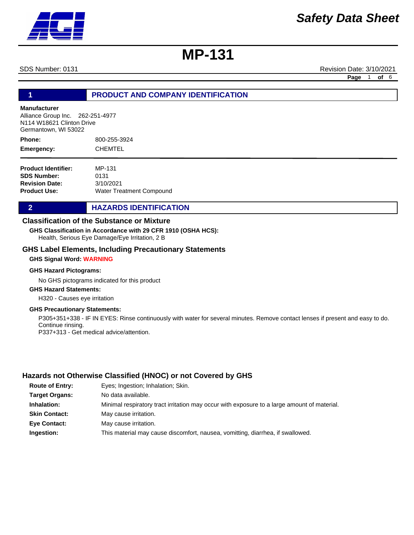SDS Number: 0131 Revision Date: 3/10/2021

**Page** 1 **of** 6

## **1 PRODUCT AND COMPANY IDENTIFICATION**

#### **Manufacturer**

Alliance Group Inc. 262-251-4977 N114 W18621 Clinton Drive Germantown, WI 53022

800-255-3924 **CHEMTEL Phone: Emergency:**

| <b>Product Identifier:</b> | MP-131                   |
|----------------------------|--------------------------|
| <b>SDS Number:</b>         | 0131                     |
| <b>Revision Date:</b>      | 3/10/2021                |
| Product Use:               | Water Treatment Compound |

### **2 HAZARDS IDENTIFICATION**

#### **Classification of the Substance or Mixture**

Health, Serious Eye Damage/Eye Irritation, 2 B **GHS Classification in Accordance with 29 CFR 1910 (OSHA HCS):**

# **GHS Label Elements, Including Precautionary Statements**

# **GHS Signal Word: WARNING**

#### **GHS Hazard Pictograms:**

No GHS pictograms indicated for this product

### **GHS Hazard Statements:**

H320 - Causes eye irritation

#### **GHS Precautionary Statements:**

P305+351+338 - IF IN EYES: Rinse continuously with water for several minutes. Remove contact lenses if present and easy to do. Continue rinsing. P337+313 - Get medical advice/attention.

### **Hazards not Otherwise Classified (HNOC) or not Covered by GHS**

| <b>Route of Entry:</b> | Eyes; Ingestion; Inhalation; Skin.                                                          |
|------------------------|---------------------------------------------------------------------------------------------|
| <b>Target Organs:</b>  | No data available.                                                                          |
| Inhalation:            | Minimal respiratory tract irritation may occur with exposure to a large amount of material. |
| <b>Skin Contact:</b>   | May cause irritation.                                                                       |
| <b>Eye Contact:</b>    | May cause irritation.                                                                       |
| Ingestion:             | This material may cause discomfort, nausea, vomitting, diarrhea, if swallowed.              |

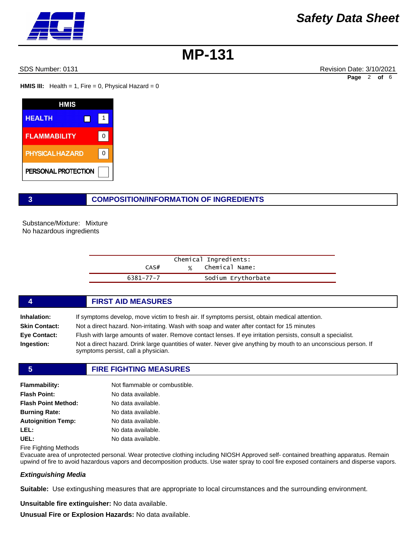SDS Number: 0131 Revision Date: 3/10/2021 **Page** 2 **of** 6

**HMIS III:** Health = 1, Fire = 0, Physical Hazard = 0

| HMIS                   |   |
|------------------------|---|
| <b>HEALTH</b>          |   |
| <b>FLAMMABILITY</b>    | n |
| <b>PHYSICAL HAZARD</b> | ŋ |
| PERSONAL PROTECTION    |   |

### **3 COMPOSITION/INFORMATION OF INGREDIENTS**

Substance/Mixture: Mixture No hazardous ingredients

| Chemical Ingredients: |   |                    |
|-----------------------|---|--------------------|
| CAS#                  | ∝ | Chemical Name:     |
| $6381 - 77 - 7$       |   | Sodium Erythorbate |

# **4 FIRST AID MEASURES**

**Inhalation:** If symptoms develop, move victim to fresh air. If symptoms persist, obtain medical attention. **Skin Contact:** Not a direct hazard. Non-irritating. Wash with soap and water after contact for 15 minutes **Eye Contact:** Flush with large amounts of water. Remove contact lenses. If eye irritation persists, consult a specialist. **Ingestion:** Not a direct hazard. Drink large quantities of water. Never give anything by mouth to an unconscious person. If symptoms persist, call a physician.

#### **5 FIRE FIGHTING MEASURES**

| Flammability:        | Not flammable or combustible. |
|----------------------|-------------------------------|
| <b>Flash Point:</b>  | No data available.            |
| Flash Point Method:  | No data available.            |
| <b>Burning Rate:</b> | No data available.            |
| Autoignition Temp:   | No data available.            |
| LEL:                 | No data available.            |
| UEL:                 | No data available.            |

Fire Fighting Methods

Evacuate area of unprotected personal. Wear protective clothing including NIOSH Approved self- contained breathing apparatus. Remain upwind of fire to avoid hazardous vapors and decomposition products. Use water spray to cool fire exposed containers and disperse vapors.

### *Extinguishing Media*

**Suitable:** Use extingushing measures that are appropriate to local circumstances and the surrounding environment.

**Unsuitable fire extinguisher:** No data available.

**Unusual Fire or Explosion Hazards:** No data available.

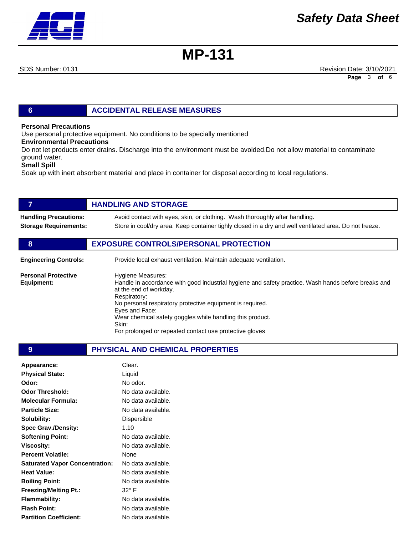

SDS Number: 0131 Revision Date: 3/10/2021 **Page** 3 **of** 6

# **6 ACCIDENTAL RELEASE MEASURES**

#### **Personal Precautions**

Use personal protective equipment. No conditions to be specially mentioned

#### **Environmental Precautions**

Do not let products enter drains. Discharge into the environment must be avoided.Do not allow material to contaminate ground water.

#### **Small Spill**

Soak up with inert absorbent material and place in container for disposal according to local regulations.

| $\overline{7}$                           | <b>HANDLING AND STORAGE</b>                                                                                                                                                                                                                                                                                                                                                        |
|------------------------------------------|------------------------------------------------------------------------------------------------------------------------------------------------------------------------------------------------------------------------------------------------------------------------------------------------------------------------------------------------------------------------------------|
| <b>Handling Precautions:</b>             | Avoid contact with eyes, skin, or clothing. Wash thoroughly after handling.                                                                                                                                                                                                                                                                                                        |
| <b>Storage Requirements:</b>             | Store in cool/dry area. Keep container tighly closed in a dry and well ventilated area. Do not freeze.                                                                                                                                                                                                                                                                             |
| 8                                        | <b>EXPOSURE CONTROLS/PERSONAL PROTECTION</b>                                                                                                                                                                                                                                                                                                                                       |
| <b>Engineering Controls:</b>             | Provide local exhaust ventilation. Maintain adequate ventilation.                                                                                                                                                                                                                                                                                                                  |
| <b>Personal Protective</b><br>Equipment: | Hygiene Measures:<br>Handle in accordance with good industrial hygiene and safety practice. Wash hands before breaks and<br>at the end of workday.<br>Respiratory:<br>No personal respiratory protective equipment is required.<br>Eyes and Face:<br>Wear chemical safety goggles while handling this product.<br>Skin:<br>For prolonged or repeated contact use protective gloves |

#### **9 PHYSICAL AND CHEMICAL PROPERTIES**

| Appearance:                           | Clear.             |
|---------------------------------------|--------------------|
| <b>Physical State:</b>                | Liquid             |
| Odor:                                 | No odor.           |
| <b>Odor Threshold:</b>                | No data available. |
| Molecular Formula:                    | No data available. |
| <b>Particle Size:</b>                 | No data available. |
| Solubility:                           | Dispersible        |
| <b>Spec Grav./Density:</b>            | 1 1 0              |
| <b>Softening Point:</b>               | No data available. |
| <b>Viscosity:</b>                     | No data available. |
| <b>Percent Volatile:</b>              | None               |
| <b>Saturated Vapor Concentration:</b> | No data available. |
| <b>Heat Value:</b>                    | No data available. |
| <b>Boiling Point:</b>                 | No data available. |
| <b>Freezing/Melting Pt.:</b>          | 32° F              |
| <b>Flammability:</b>                  | No data available. |
| <b>Flash Point:</b>                   | No data available. |
| <b>Partition Coefficient:</b>         | No data available. |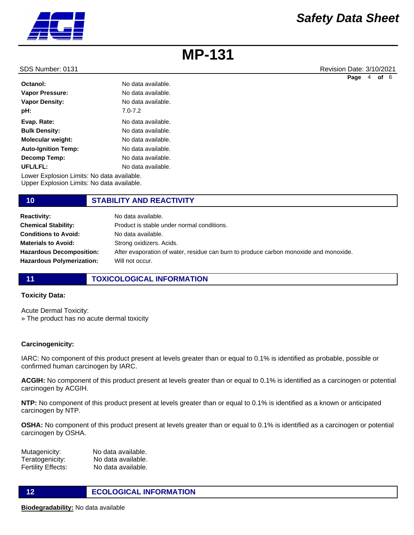

| Octanol:                                   | No data available. |
|--------------------------------------------|--------------------|
| <b>Vapor Pressure:</b>                     | No data available. |
| <b>Vapor Density:</b>                      | No data available. |
| pH:                                        | $7.0 - 7.2$        |
| Evap. Rate:                                | No data available. |
| <b>Bulk Density:</b>                       | No data available. |
| <b>Molecular weight:</b>                   | No data available. |
| <b>Auto-Ignition Temp:</b>                 | No data available. |
| Decomp Temp:                               | No data available. |
| UFL/LFL:                                   | No data available. |
| Lower Explosion Limits: No data available. |                    |

Upper Explosion Limits: No data available.

# **10 STABILITY AND REACTIVITY**

| <b>Reactivity:</b>               | No data available.                                                                    |
|----------------------------------|---------------------------------------------------------------------------------------|
| <b>Chemical Stability:</b>       | Product is stable under normal conditions.                                            |
| <b>Conditions to Avoid:</b>      | No data available.                                                                    |
| <b>Materials to Avoid:</b>       | Strong oxidizers. Acids.                                                              |
| <b>Hazardous Decomposition:</b>  | After evaporation of water, residue can burn to produce carbon monoxide and monoxide. |
| <b>Hazardous Polymerization:</b> | Will not occur.                                                                       |
|                                  |                                                                                       |

### **11 TOXICOLOGICAL INFORMATION**

#### **Toxicity Data:**

Acute Dermal Toxicity: » The product has no acute dermal toxicity

#### **Carcinogenicity:**

IARC: No component of this product present at levels greater than or equal to 0.1% is identified as probable, possible or confirmed human carcinogen by IARC.

**ACGIH:** No component of this product present at levels greater than or equal to 0.1% is identified as a carcinogen or potential carcinogen by ACGIH.

**NTP:** No component of this product present at levels greater than or equal to 0.1% is identified as a known or anticipated carcinogen by NTP.

**OSHA:** No component of this product present at levels greater than or equal to 0.1% is identified as a carcinogen or potential carcinogen by OSHA.

Mutagenicity: No data available. Teratogenicity: No data available. Fertility Effects: No data available.

# **12 ECOLOGICAL INFORMATION**

SDS Number: 0131 Revision Date: 3/10/2021 **Page** 4 **of** 6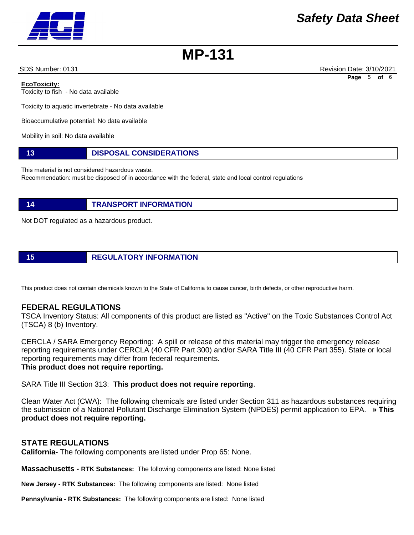SDS Number: 0131 Revision Date: 3/10/2021 **Page** 5 **of** 6

**EcoToxicity:**

Toxicity to fish - No data available

Toxicity to aquatic invertebrate - No data available

Bioaccumulative potential: No data available

Mobility in soil: No data available

# **13 DISPOSAL CONSIDERATIONS**

This material is not considered hazardous waste.

Recommendation: must be disposed of in accordance with the federal, state and local control regulations

# **14 TRANSPORT INFORMATION**

Not DOT regulated as a hazardous product.

# **15 REGULATORY INFORMATION**

This product does not contain chemicals known to the State of California to cause cancer, birth defects, or other reproductive harm.

# **FEDERAL REGULATIONS**

TSCA Inventory Status: All components of this product are listed as "Active" on the Toxic Substances Control Act (TSCA) 8 (b) Inventory.

CERCLA / SARA Emergency Reporting: A spill or release of this material may trigger the emergency release reporting requirements under CERCLA (40 CFR Part 300) and/or SARA Title III (40 CFR Part 355). State or local reporting requirements may differ from federal requirements. **This product does not require reporting.**

SARA Title III Section 313: **This product does not require reporting**.

Clean Water Act (CWA): The following chemicals are listed under Section 311 as hazardous substances requiring the submission of a National Pollutant Discharge Elimination System (NPDES) permit application to EPA. **» This product does not require reporting.**

# **STATE REGULATIONS**

**California-** The following components are listed under Prop 65: None.

**Massachusetts - RTK Substances:** The following components are listed: None listed

**New Jersey - RTK Substances:** The following components are listed: None listed

**Pennsylvania - RTK Substances:** The following components are listed: None listed